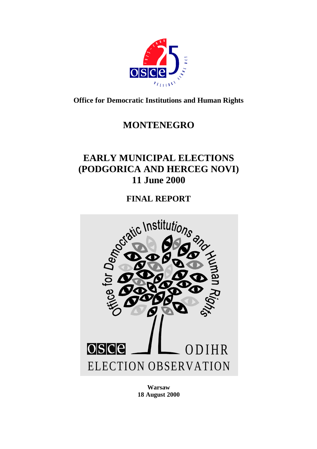

**Office for Democratic Institutions and Human Rights**

# **MONTENEGRO**

# **EARLY MUNICIPAL ELECTIONS (PODGORICA AND HERCEG NOVI) 11 June 2000**

**FINAL REPORT**



**Warsaw 18 August 2000**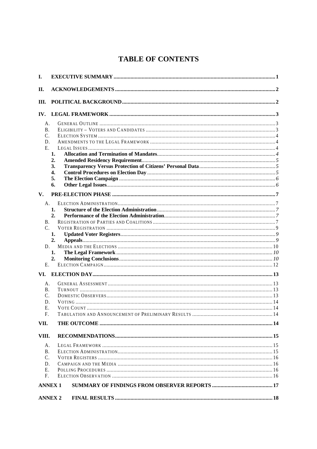## **TABLE OF CONTENTS**

| I.                                      |                            |  |  |  |  |
|-----------------------------------------|----------------------------|--|--|--|--|
| П.                                      |                            |  |  |  |  |
| Ш.                                      |                            |  |  |  |  |
| IV.                                     |                            |  |  |  |  |
| А.<br>В.<br>C.<br>D.<br>E.              | 1.<br>2.<br>3.<br>4.<br>5. |  |  |  |  |
|                                         | 6.                         |  |  |  |  |
| $V_{\cdot}$                             |                            |  |  |  |  |
| A.<br><b>B.</b><br>C.                   | 1.<br>2.<br>1.             |  |  |  |  |
| D.<br>Е.                                | 2.<br>1.<br>2.             |  |  |  |  |
| VI.                                     |                            |  |  |  |  |
| А.<br>В.<br>C.<br>D.<br>Е.<br>F.        |                            |  |  |  |  |
| VII.                                    |                            |  |  |  |  |
| VIII.                                   |                            |  |  |  |  |
| A.<br><b>B.</b><br>C.<br>D.<br>Е.<br>F. |                            |  |  |  |  |
| <b>ANNEX 1</b>                          |                            |  |  |  |  |
|                                         | <b>ANNEX 2</b>             |  |  |  |  |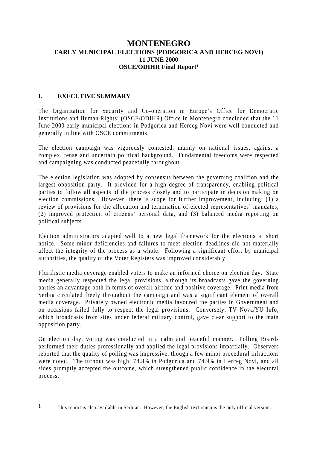## **MONTENEGRO EARLY MUNICIPAL ELECTIONS (PODGORICA AND HERCEG NOVI) 11 JUNE 2000 OSCE/ODIHR Final Report<sup>1</sup>**

#### **I. EXECUTIVE SUMMARY**

The Organization for Security and Co-operation in Europe's Office for Democratic Institutions and Human Rights' (OSCE/ODIHR) Office in Montenegro concluded that the 11 June 2000 early municipal elections in Podgorica and Herceg Novi were well conducted and generally in line with OSCE commitments.

The election campaign was vigorously contested, mainly on national issues, against a complex, tense and uncertain political background. Fundamental freedoms were respected and campaigning was conducted peacefully throughout.

The election legislation was adopted by consensus between the governing coalition and the largest opposition party. It provided for a high degree of transparency, enabling political parties to follow all aspects of the process closely and to participate in decision making on election commissions. However, there is scope for further improvement, including: (1) a review of provisions for the allocation and termination of elected representatives' mandates, (2) improved protection of citizens' personal data, and (3) balanced media reporting on political subjects.

Election administrators adapted well to a new legal framework for the elections at short notice. Some minor deficiencies and failures to meet election deadlines did not materially affect the integrity of the process as a whole. Following a significant effort by municipal authorities, the quality of the Voter Registers was improved considerably.

Pluralistic media coverage enabled voters to make an informed choice on election day. State media generally respected the legal provisions, although its broadcasts gave the governing parties an advantage both in terms of overall airtime and positive coverage. Print media from Serbia circulated freely throughout the campaign and was a significant element of overall media coverage. Privately owned electronic media favoured the parties in Government and on occasions failed fully to respect the legal provisions. Conversely, TV Nova/YU Info, which broadcasts from sites under federal military control, gave clear support to the main opposition party.

On election day, voting was conducted in a calm and peaceful manner. Polling Boards performed their duties professionally and applied the legal provisions impartially. Observers reported that the quality of polling was impressive, though a few minor procedural infractions were noted. The turnout was high, 78.8% in Podgorica and 74.9% in Herceg Novi, and all sides promptly accepted the outcome, which strengthened public confidence in the electoral process.

<sup>1</sup> This report is also available in Serbian. However, the English text remains the only official version.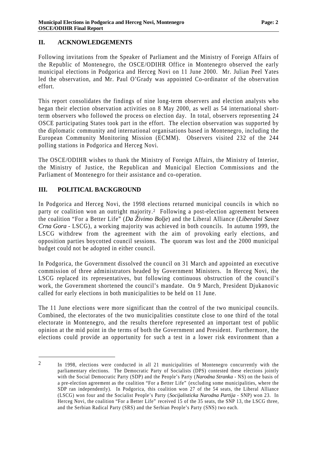#### **II. ACKNOWLEDGEMENTS**

Following invitations from the Speaker of Parliament and the Ministry of Foreign Affairs of the Republic of Montenegro, the OSCE/ODIHR Office in Montenegro observed the early municipal elections in Podgorica and Herceg Novi on 11 June 2000. Mr. Julian Peel Yates led the observation, and Mr. Paul O'Grady was appointed Co-ordinator of the observation effort.

This report consolidates the findings of nine long-term observers and election analysts who began their election observation activities on 8 May 2000, as well as 54 international shortterm observers who followed the process on election day. In total, observers representing 24 OSCE participating States took part in the effort. The election observation was supported by the diplomatic community and international organisations based in Montenegro, including the European Community Monitoring Mission (ECMM). Observers visited 232 of the 244 polling stations in Podgorica and Herceg Novi.

The OSCE/ODIHR wishes to thank the Ministry of Foreign Affairs, the Ministry of Interior, the Ministry of Justice, the Republican and Municipal Election Commissions and the Parliament of Montenegro for their assistance and co-operation.

#### **III. POLITICAL BACKGROUND**

 $\overline{a}$ 

In Podgorica and Herceg Novi, the 1998 elections returned municipal councils in which no party or coalition won an outright majority.<sup>2</sup> Following a post-election agreement between the coalition "For a Better Life" (*Da Živimo Bolje*) and the Liberal Alliance (*Liberalni Savez Crna Gora* - LSCG), a working majority was achieved in both councils. In autumn 1999, the LSCG withdrew from the agreement with the aim of provoking early elections, and opposition parties boycotted council sessions. The quorum was lost and the 2000 municipal budget could not be adopted in either council.

In Podgorica, the Government dissolved the council on 31 March and appointed an executive commission of three administrators headed by Government Ministers. In Herceg Novi, the LSCG replaced its representatives, but following continuous obstruction of the council's work, the Government shortened the council's mandate. On 9 March, President Djukanovic called for early elections in both municipalities to be held on 11 June.

The 11 June elections were more significant than the control of the two municipal councils. Combined, the electorates of the two municipalities constitute close to one third of the total electorate in Montenegro, and the results therefore represented an important test of public opinion at the mid point in the terms of both the Government and President. Furthermore, the elections could provide an opportunity for such a test in a lower risk environment than a

<sup>&</sup>lt;sup>2</sup> In 1998, elections were conducted in all 21 municipalities of Montenegro concurrently with the parliamentary elections. The Democratic Party of Socialists (DPS) contested these elections jointly with the Social Democratic Party (SDP) and the People's Party (*Narodna Stranka* - NS) on the basis of a pre-election agreement as the coalition "For a Better Life" (excluding some municipalities, where the SDP ran independently). In Podgorica, this coalition won 27 of the 54 seats, the Liberal Alliance (LSCG) won four and the Socialist People's Party (*Socijalisticka Narodna Partija* - SNP) won 23. In Herceg Novi, the coalition "For a Better Life" received 15 of the 35 seats, the SNP 13, the LSCG three, and the Serbian Radical Party (SRS) and the Serbian People's Party (SNS) two each.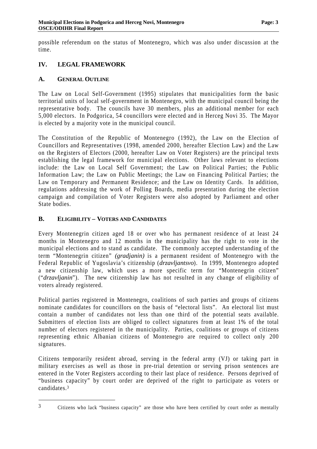possible referendum on the status of Montenegro, which was also under discussion at the time.

## **IV. LEGAL FRAMEWORK**

### **A. GENERAL OUTLINE**

The Law on Local Self-Government (1995) stipulates that municipalities form the basic territorial units of local self-government in Montenegro, with the municipal council being the representative body. The councils have 30 members, plus an additional member for each 5,000 electors. In Podgorica, 54 councillors were elected and in Herceg Novi 35. The Mayor is elected by a majority vote in the municipal council.

The Constitution of the Republic of Montenegro (1992), the Law on the Election of Councillors and Representatives (1998, amended 2000, hereafter Election Law) and the Law on the Registers of Electors (2000, hereafter Law on Voter Registers) are the principal texts establishing the legal framework for municipal elections. Other laws relevant to elections include: the Law on Local Self Government; the Law on Political Parties; the Public Information Law; the Law on Public Meetings; the Law on Financing Political Parties; the Law on Temporary and Permanent Residence; and the Law on Identity Cards. In addition, regulations addressing the work of Polling Boards, media presentation during the election campaign and compilation of Voter Registers were also adopted by Parliament and other State bodies.

#### **B. ELIGIBILITY – VOTERS AND CANDIDATES**

Every Montenegrin citizen aged 18 or over who has permanent residence of at least 24 months in Montenegro and 12 months in the municipality has the right to vote in the municipal elections and to stand as candidate. The commonly accepted understanding of the term "Montenegrin citizen" *(gradjanin)* is a permanent resident of Montenegro with the Federal Republic of Yugoslavia's citizenship (*drzavljantsvo*). In 1999, Montenegro adopted a new citizenship law, which uses a more specific term for "Montenegrin citizen" ("*drzavljanin*"). The new citizenship law has not resulted in any change of eligibility of voters already registered.

Political parties registered in Montenegro, coalitions of such parties and groups of citizens nominate candidates for councillors on the basis of "electoral lists". An electoral list must contain a number of candidates not less than one third of the potential seats available. Submitters of election lists are obliged to collect signatures from at least 1% of the total number of electors registered in the municipality. Parties, coalitions or groups of citizens representing ethnic Albanian citizens of Montenegro are required to collect only 200 signatures.

Citizens temporarily resident abroad, serving in the federal army (VJ) or taking part in military exercises as well as those in pre-trial detention or serving prison sentences are entered in the Voter Registers according to their last place of residence. Persons deprived of "business capacity" by court order are deprived of the right to participate as voters or candidates.<sup>3</sup>

<sup>3</sup> Citizens who lack "business capacity" are those who have been certified by court order as mentally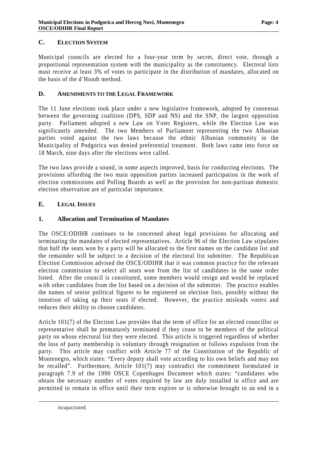## **C. ELECTION SYSTEM**

Municipal councils are elected for a four-year term by secret, direct vote, through a proportional representation system with the municipality as the constituency. Electoral lists must receive at least 3% of votes to participate in the distribution of mandates, allocated on the basis of the d'Hondt method.

#### **D. AMENDMENTS TO THE LEGAL FRAMEWORK**

The 11 June elections took place under a new legislative framework, adopted by consensus between the governing coalition (DPS, SDP and NS) and the SNP, the largest opposition party. Parliament adopted a new Law on Voter Registers, while the Election Law was significantly amended. The two Members of Parliament representing the two Albanian parties voted against the two laws because the ethnic Albanian community in the Municipality of Podgorica was denied preferential treatment. Both laws came into force on 18 March, nine days after the elections were called.

The two laws provide a sound, in some aspects improved, basis for conducting elections. The provisions affording the two main opposition parties increased participation in the work of election commissions and Polling Boards as well as the provision for non-partisan domestic election observation are of particular importance.

### **E. LEGAL ISSUES**

### **1. Allocation and Termination of Mandates**

The OSCE/ODIHR continues to be concerned about legal provisions for allocating and terminating the mandates of elected representatives. Article 96 of the Election Law stipulates that half the seats won by a party will be allocated to the first names on the candidate list and the remainder will be subject to a decision of the electoral list submitter. The Republican Election Commission advised the OSCE/ODIHR that it was common practice for the relevant election commission to select all seats won from the list of candidates in the same order listed. After the council is constituted, some members would resign and would be replaced with other candidates from the list based on a decision of the submitter. The practice enables the names of senior political figures to be registered on election lists, possibly without the intention of taking up their seats if elected. However, the practice misleads voters and reduces their ability to choose candidates.

Article 101(7) of the Election Law provides that the term of office for an elected councillor or representative shall be prematurely terminated if they cease to be members of the political party on whose electoral list they were elected. This article is triggered regardless of whether the loss of party membership is voluntary through resignation or follows expulsion from the party. This article may conflict with Article 77 of the Constitution of the Republic of Montenegro, which states: "Every deputy shall vote according to his own beliefs and may not be recalled". Furthermore, Article 101(7) may contradict the commitment formulated in paragraph 7.9 of the 1990 OSCE Copenhagen Document which states: "candidates who obtain the necessary number of votes required by law are duly installed in office and are permitted to remain in office until their term expires or is otherwise brought to an end in a

incapacitated.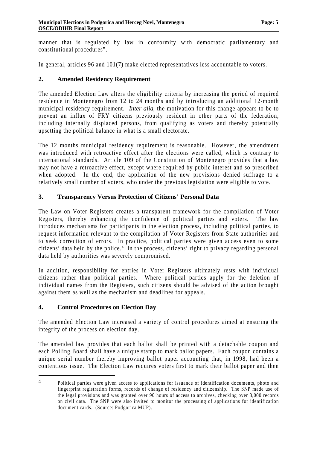manner that is regulated by law in conformity with democratic parliamentary and constitutional procedures".

In general, articles 96 and 101(7) make elected representatives less accountable to voters.

## **2. Amended Residency Requirement**

The amended Election Law alters the eligibility criteria by increasing the period of required residence in Montenegro from 12 to 24 months and by introducing an additional 12-month municipal residency requirement. *Inter alia*, the motivation for this change appears to be to prevent an influx of FRY citizens previously resident in other parts of the federation, including internally displaced persons, from qualifying as voters and thereby potentially upsetting the political balance in what is a small electorate.

The 12 months municipal residency requirement is reasonable. However, the amendment was introduced with retroactive effect after the elections were called, which is contrary to international standards. Article 109 of the Constitution of Montenegro provides that a law may not have a retroactive effect, except where required by public interest and so prescribed when adopted. In the end, the application of the new provisions denied suffrage to a relatively small number of voters, who under the previous legislation were eligible to vote.

## **3. Transparency Versus Protection of Citizens' Personal Data**

The Law on Voter Registers creates a transparent framework for the compilation of Voter Registers, thereby enhancing the confidence of political parties and voters. The law introduces mechanisms for participants in the election process, including political parties, to request information relevant to the compilation of Voter Registers from State authorities and to seek correction of errors. In practice, political parties were given access even to some citizens' data held by the police.<sup>4</sup> In the process, citizens' right to privacy regarding personal data held by authorities was severely compromised.

In addition, responsibility for entries in Voter Registers ultimately rests with individual citizens rather than political parties. Where political parties apply for the deletion of individual names from the Registers, such citizens should be advised of the action brought against them as well as the mechanism and deadlines for appeals.

### **4. Control Procedures on Election Day**

 $\overline{a}$ 

The amended Election Law increased a variety of control procedures aimed at ensuring the integrity of the process on election day.

The amended law provides that each ballot shall be printed with a detachable coupon and each Polling Board shall have a unique stamp to mark ballot papers. Each coupon contains a unique serial number thereby improving ballot paper accounting that, in 1998, had been a contentious issue. The Election Law requires voters first to mark their ballot paper and then

<sup>4</sup> Political parties were given access to applications for issuance of identification documents, photo and fingerprint registration forms, records of change of residency and citizenship. The SNP made use of the legal provisions and was granted over 90 hours of access to archives, checking over 3,000 records on civil data. The SNP were also invited to monitor the processing of applications for identification document cards. (Source: Podgorica MUP).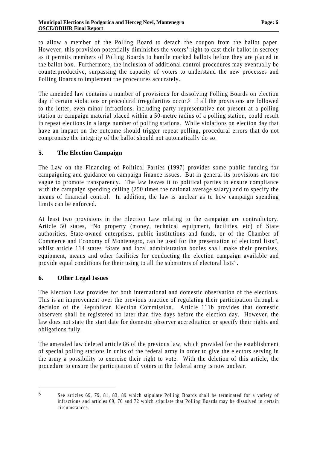to allow a member of the Polling Board to detach the coupon from the ballot paper. However, this provision potentially diminishes the voters' right to cast their ballot in secrecy as it permits members of Polling Boards to handle marked ballots before they are placed in the ballot box. Furthermore, the inclusion of additional control procedures may eventually be counterproductive, surpassing the capacity of voters to understand the new processes and Polling Boards to implement the procedures accurately.

The amended law contains a number of provisions for dissolving Polling Boards on election day if certain violations or procedural irregularities occur.<sup>5</sup> If all the provisions are followed to the letter, even minor infractions, including party representative not present at a polling station or campaign material placed within a 50-metre radius of a polling station, could result in repeat elections in a large number of polling stations. While violations on election day that have an impact on the outcome should trigger repeat polling, procedural errors that do not compromise the integrity of the ballot should not automatically do so.

## **5. The Election Campaign**

The Law on the Financing of Political Parties (1997) provides some public funding for campaigning and guidance on campaign finance issues. But in general its provisions are too vague to promote transparency. The law leaves it to political parties to ensure compliance with the campaign spending ceiling (250 times the national average salary) and to specify the means of financial control. In addition, the law is unclear as to how campaign spending limits can be enforced.

At least two provisions in the Election Law relating to the campaign are contradictory. Article 50 states, "No property (money, technical equipment, facilities, etc) of State authorities, State-owned enterprises, public institutions and funds, or of the Chamber of Commerce and Economy of Montenegro, can be used for the presentation of electoral lists", whilst article 114 states "State and local administration bodies shall make their premises, equipment, means and other facilities for conducting the election campaign available and provide equal conditions for their using to all the submitters of electoral lists".

### **6. Other Legal Issues**

The Election Law provides for both international and domestic observation of the elections. This is an improvement over the previous practice of regulating their participation through a decision of the Republican Election Commission. Article 111b provides that domestic observers shall be registered no later than five days before the election day. However, the law does not state the start date for domestic observer accreditation or specify their rights and obligations fully.

The amended law deleted article 86 of the previous law, which provided for the establishment of special polling stations in units of the federal army in order to give the electors serving in the army a possibility to exercise their right to vote. With the deletion of this article, the procedure to ensure the participation of voters in the federal army is now unclear.

<sup>5</sup> See articles 69, 79, 81, 83, 89 which stipulate Polling Boards shall be terminated for a variety of infractions and articles 69, 70 and 72 which stipulate that Polling Boards may be dissolved in certain circumstances.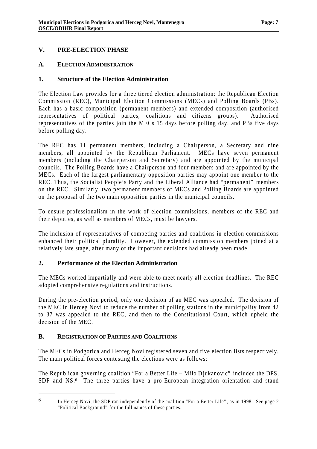## **V. PRE-ELECTION PHASE**

#### **A. ELECTION ADMINISTRATION**

#### **1. Structure of the Election Administration**

The Election Law provides for a three tiered election administration: the Republican Election Commission (REC), Municipal Election Commissions (MECs) and Polling Boards (PBs). Each has a basic composition (permanent members) and extended composition (authorised representatives of political parties, coalitions and citizens groups). Authorised representatives of the parties join the MECs 15 days before polling day, and PBs five days before polling day.

The REC has 11 permanent members, including a Chairperson, a Secretary and nine members, all appointed by the Republican Parliament. MECs have seven permanent members (including the Chairperson and Secretary) and are appointed by the municipal councils. The Polling Boards have a Chairperson and four members and are appointed by the MECs. Each of the largest parliamentary opposition parties may appoint one member to the REC. Thus, the Socialist People's Party and the Liberal Alliance had "permanent" members on the REC. Similarly, two permanent members of MECs and Polling Boards are appointed on the proposal of the two main opposition parties in the municipal councils.

To ensure professionalism in the work of election commissions, members of the REC and their deputies, as well as members of MECs, must be lawyers.

The inclusion of representatives of competing parties and coalitions in election commissions enhanced their political plurality. However, the extended commission members joined at a relatively late stage, after many of the important decisions had already been made.

#### **2. Performance of the Election Administration**

The MECs worked impartially and were able to meet nearly all election deadlines. The REC adopted comprehensive regulations and instructions.

During the pre-election period, only one decision of an MEC was appealed. The decision of the MEC in Herceg Novi to reduce the number of polling stations in the municipality from 42 to 37 was appealed to the REC, and then to the Constitutional Court, which upheld the decision of the MEC.

#### **B. REGISTRATION OF PARTIES AND COALITIONS**

The MECs in Podgorica and Herceg Novi registered seven and five election lists respectively. The main political forces contesting the elections were as follows:

The Republican governing coalition "For a Better Life – Milo Djukanovic" included the DPS, SDP and NS.<sup>6</sup> The three parties have a pro-European integration orientation and stand

<sup>6</sup> In Herceg Novi, the SDP ran independently of the coalition "For a Better Life", as in 1998. See page 2 "Political Background" for the full names of these parties.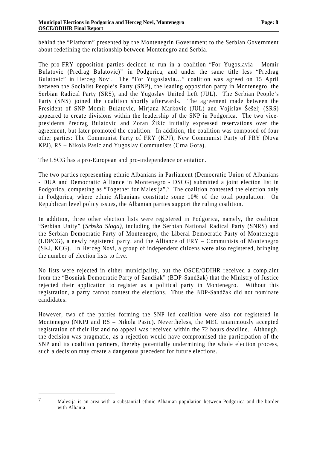behind the "Platform" presented by the Montenegrin Government to the Serbian Government about redefining the relationship between Montenegro and Serbia.

The pro-FRY opposition parties decided to run in a coalition "For Yugoslavia - Momir Bulatovic (Predrag Bulatovic)" in Podgorica, and under the same title less "Predrag Bulatovic" in Herceg Novi. The "For Yugoslavia..." coalition was agreed on 15 April between the Socialist People's Party (SNP), the leading opposition party in Montenegro, the Serbian Radical Party (SRS), and the Yugoslav United Left (JUL). The Serbian People's Party (SNS) joined the coalition shortly afterwards. The agreement made between the President of SNP Momir Bulatovic, Mirjana Markovic (JUL) and Vojislav Šešelj (SRS) appeared to create divisions within the leadership of the SNP in Podgorica. The two vicepresidents Predrag Bulatovic and Zoran Žižic initially expressed reservations over the agreement, but later promoted the coalition. In addition, the coalition was composed of four other parties: The Communist Party of FRY (KPJ), New Communist Party of FRY (Nova KPJ), RS – Nikola Pasic and Yugoslav Communists (Crna Gora).

The LSCG has a pro-European and pro-independence orientation.

The two parties representing ethnic Albanians in Parliament (Democratic Union of Albanians - DUA and Democratic Alliance in Montenegro - DSCG) submitted a joint election list in Podgorica, competing as "Together for Malesija".<sup>7</sup> The coalition contested the election only in Podgorica, where ethnic Albanians constitute some 10% of the total population. On Republican level policy issues, the Albanian parties support the ruling coalition.

In addition, three other election lists were registered in Podgorica, namely, the coalition "Serbian Unity" (*Srbska Sloga)*, including the Serbian National Radical Party (SNRS) and the Serbian Democratic Party of Montenegro, the Liberal Democratic Party of Montenegro (LDPCG), a newly registered party, and the Alliance of FRY – Communists of Montenegro (SKJ, KCG). In Herceg Novi, a group of independent citizens were also registered, bringing the number of election lists to five.

No lists were rejected in either municipality, but the OSCE/ODIHR received a complaint from the "Bosniak Democratic Party of Sandžak" (BDP-Sandžak) that the Ministry of Justice rejected their application to register as a political party in Montenegro. Without this registration, a party cannot contest the elections. Thus the BDP-Sandžak did not nominate candidates.

However, two of the parties forming the SNP led coalition were also not registered in Montenegro (NKPJ and RS – Nikola Pasic). Nevertheless, the MEC unanimously accepted registration of their list and no appeal was received within the 72 hours deadline. Although, the decision was pragmatic, as a rejection would have compromised the participation of the SNP and its coalition partners, thereby potentially undermining the whole election process, such a decision may create a dangerous precedent for future elections.

<sup>7</sup> Malesija is an area with a substantial ethnic Albanian population between Podgorica and the border with Albania.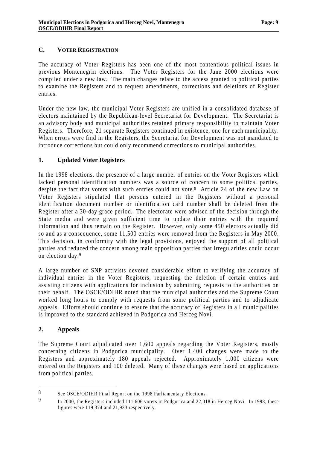## **C. VOTER REGISTRATION**

The accuracy of Voter Registers has been one of the most contentious political issues in previous Montenegrin elections. The Voter Registers for the June 2000 elections were compiled under a new law. The main changes relate to the access granted to political parties to examine the Registers and to request amendments, corrections and deletions of Register entries.

Under the new law, the municipal Voter Registers are unified in a consolidated database of electors maintained by the Republican-level Secretariat for Development. The Secretariat is an advisory body and municipal authorities retained primary responsibility to maintain Voter Registers. Therefore, 21 separate Registers continued in existence, one for each municipality. When errors were find in the Registers, the Secretariat for Development was not mandated to introduce corrections but could only recommend corrections to municipal authorities.

## **1. Updated Voter Registers**

In the 1998 elections, the presence of a large number of entries on the Voter Registers which lacked personal identification numbers was a source of concern to some political parties, despite the fact that voters with such entries could not vote.<sup>8</sup> Article 24 of the new Law on Voter Registers stipulated that persons entered in the Registers without a personal identification document number or identification card number shall be deleted from the Register after a 30-day grace period. The electorate were advised of the decision through the State media and were given sufficient time to update their entries with the required information and thus remain on the Register. However, only some 450 electors actually did so and as a consequence, some 11,500 entries were removed from the Registers in May 2000. This decision, in conformity with the legal provisions, enjoyed the support of all political parties and reduced the concern among main opposition parties that irregularities could occur on election day. <sup>9</sup>

A large number of SNP activists devoted considerable effort to verifying the accuracy of individual entries in the Voter Registers, requesting the deletion of certain entries and assisting citizens with applications for inclusion by submitting requests to the authorities on their behalf. The OSCE/ODIHR noted that the municipal authorities and the Supreme Court worked long hours to comply with requests from some political parties and to adjudicate appeals. Efforts should continue to ensure that the accuracy of Registers in all municipalities is improved to the standard achieved in Podgorica and Herceg Novi.

### **2. Appeals**

 $\overline{a}$ 

The Supreme Court adjudicated over 1,600 appeals regarding the Voter Registers, mostly concerning citizens in Podgorica municipality. Over 1,400 changes were made to the Registers and approximately 180 appeals rejected. Approximately 1,000 citizens were entered on the Registers and 100 deleted. Many of these changes were based on applications from political parties.

<sup>8</sup> See OSCE/ODIHR Final Report on the 1998 Parliamentary Elections.<br>9 In 2000, the Registers included 111.606 voters in Podgorica and 22.01

In 2000, the Registers included 111,606 voters in Podgorica and 22,018 in Herceg Novi. In 1998, these figures were 119,374 and 21,933 respectively.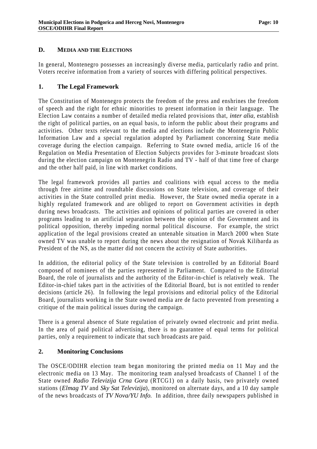#### **D. MEDIA AND THE ELECTIONS**

In general, Montenegro possesses an increasingly diverse media, particularly radio and print. Voters receive information from a variety of sources with differing political perspectives.

#### **1. The Legal Framework**

The Constitution of Montenegro protects the freedom of the press and enshrines the freedom of speech and the right for ethnic minorities to present information in their language. The Election Law contains a number of detailed media related provisions that, *inter alia*, establish the right of political parties, on an equal basis, to inform the public about their programs and activities. Other texts relevant to the media and elections include the Montenegrin Public Information Law and a special regulation adopted by Parliament concerning State media coverage during the election campaign. Referring to State owned media, article 16 of the Regulation on Media Presentation of Election Subjects provides for 3-minute broadcast slots during the election campaign on Montenegrin Radio and TV - half of that time free of charge and the other half paid, in line with market conditions.

The legal framework provides all parties and coalitions with equal access to the media through free airtime and roundtable discussions on State television, and coverage of their activities in the State controlled print media. However, the State owned media operate in a highly regulated framework and are obliged to report on Government activities in depth during news broadcasts. The activities and opinions of political parties are covered in other programs leading to an artificial separation between the opinion of the Government and its political opposition, thereby impeding normal political discourse. For example, the strict application of the legal provisions created an untenable situation in March 2000 when State owned TV was unable to report during the news about the resignation of Novak Kilibarda as President of the NS, as the matter did not concern the activity of State authorities.

In addition, the editorial policy of the State television is controlled by an Editorial Board composed of nominees of the parties represented in Parliament. Compared to the Editorial Board, the role of journalists and the authority of the Editor-in-chief is relatively weak. The Editor-in-chief takes part in the activities of the Editorial Board, but is not entitled to render decisions (article 26). In following the legal provisions and editorial policy of the Editorial Board, journalists working in the State owned media are de facto prevented from presenting a critique of the main political issues during the campaign.

There is a general absence of State regulation of privately owned electronic and print media. In the area of paid political advertising, there is no guarantee of equal terms for political parties, only a requirement to indicate that such broadcasts are paid.

### **2. Monitoring Conclusions**

The OSCE/ODIHR election team began monitoring the printed media on 11 May and the electronic media on 13 May. The monitoring team analysed broadcasts of Channel 1 of the State owned *Radio Televizija Crna Gora* (RTCG1) on a daily basis, two privately owned stations (*Elmag TV* and *Sky Sat Televizija*), monitored on alternate days, and a 10 day sample of the news broadcasts of *TV Nova/YU Info*. In addition, three daily newspapers published in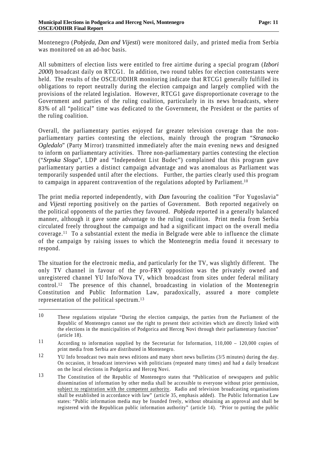Montenegro (*Pobjeda, Dan and Vijesti*) were monitored daily, and printed media from Serbia was monitored on an ad-hoc basis.

All submitters of election lists were entitled to free airtime during a special program (*Izbori 2000*) broadcast daily on RTCG1. In addition, two round tables for election contestants were held. The results of the OSCE/ODIHR monitoring indicate that RTCG1 generally fulfilled its obligations to report neutrally during the election campaign and largely complied with the provisions of the related legislation. However, RTCG1 gave disproportionate coverage to the Government and parties of the ruling coalition, particularly in its news broadcasts, where 83% of all "political" time was dedicated to the Government, the President or the parties of the ruling coalition.

Overall, the parliamentary parties enjoyed far greater television coverage than the nonparliamentary parties contesting the elections, mainly through the program "*Stranacko Ogledalo*" (Party Mirror) transmitted immediately after the main evening news and designed to inform on parliamentary activities. Three non-parliamentary parties contesting the election ("*Srpska Sloga*", LDP and "Independent List Budec") complained that this program gave parliamentary parties a distinct campaign advantage and was anomalous as Parliament was temporarily suspended until after the elections. Further, the parties clearly used this program to campaign in apparent contravention of the regulations adopted by Parliament.<sup>10</sup>

The print media reported independently, with *Dan* favouring the coalition "For Yugoslavia" and *Vijesti* reporting positively on the parties of Government. Both reported negatively on the political opponents of the parties they favoured. *Pobjeda* reported in a generally balanced manner, although it gave some advantage to the ruling coalition. Print media from Serbia circulated freely throughout the campaign and had a significant impact on the overall media coverage.11 To a substantial extent the media in Belgrade were able to influence the climate of the campaign by raising issues to which the Montenegrin media found it necessary to respond.

The situation for the electronic media, and particularly for the TV, was slightly different. The only TV channel in favour of the pro-FRY opposition was the privately owned and unregistered channel YU Info/Nova TV, which broadcast from sites under federal military control.12 The presence of this channel, broadcasting in violation of the Montenegrin Constitution and Public Information Law, paradoxically, assured a more complete representation of the political spectrum.<sup>13</sup>

<sup>10</sup> These regulations stipulate "During the election campaign, the parties from the Parliament of the Republic of Montenegro cannot use the right to present their activities which are directly linked with the elections in the municipalities of Podgorica and Herceg Novi through their parliamentary function" (article 18).

<sup>11</sup> According to information supplied by the Secretariat for Information, 110,000 – 120,000 copies of print media from Serbia are distributed in Montenegro.

<sup>&</sup>lt;sup>12</sup> YU Info broadcast two main news editions and many short news bulletins (3/5 minutes) during the day. On occasion, it broadcast interviews with politicians (repeated many times) and had a daily broadcast on the local elections in Podgorica and Herceg Novi.

<sup>13</sup> The Constitution of the Republic of Montenegro states that "Publication of newspapers and public dissemination of information by other media shall be accessible to everyone without prior permission, subject to registration with the competent authority. Radio and television broadcasting organisations shall be established in accordance with law" (article 35, emphasis added). The Public Information Law states: "Public information media may be founded freely, without obtaining an approval and shall be registered with the Republican public information authority" (article 14). "Prior to putting the public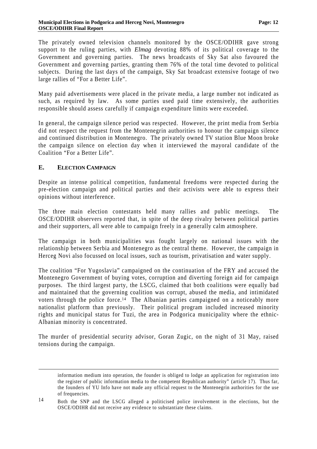The privately owned television channels monitored by the OSCE/ODIHR gave strong support to the ruling parties, with *Elmag* devoting 88% of its political coverage to the Government and governing parties. The news broadcasts of Sky Sat also favoured the Government and governing parties, granting them 76% of the total time devoted to political subjects. During the last days of the campaign, Sky Sat broadcast extensive footage of two large rallies of "For a Better Life".

Many paid advertisements were placed in the private media, a large number not indicated as such, as required by law. As some parties used paid time extensively, the authorities responsible should assess carefully if campaign expenditure limits were exceeded.

In general, the campaign silence period was respected. However, the print media from Serbia did not respect the request from the Montenegrin authorities to honour the campaign silence and continued distribution in Montenegro. The privately owned TV station Blue Moon broke the campaign silence on election day when it interviewed the mayoral candidate of the Coalition "For a Better Life".

#### **E. ELECTION CAMPAIGN**

 $\overline{a}$ 

Despite an intense political competition, fundamental freedoms were respected during the pre-election campaign and political parties and their activists were able to express their opinions without interference.

The three main election contestants held many rallies and public meetings. The OSCE/ODIHR observers reported that, in spite of the deep rivalry between political parties and their supporters, all were able to campaign freely in a generally calm atmosphere.

The campaign in both municipalities was fought largely on national issues with the relationship between Serbia and Montenegro as the central theme. However, the campaign in Herceg Novi also focussed on local issues, such as tourism, privatisation and water supply.

The coalition "For Yugoslavia" campaigned on the continuation of the FRY and accused the Montenegro Government of buying votes, corruption and diverting foreign aid for campaign purposes. The third largest party, the LSCG, claimed that both coalitions were equally bad and maintained that the governing coalition was corrupt, abused the media, and intimidated voters through the police force.14 The Albanian parties campaigned on a noticeably more nationalist platform than previously. Their political program included increased minority rights and municipal status for Tuzi, the area in Podgorica municipality where the ethnic-Albanian minority is concentrated.

The murder of presidential security advisor, Goran Zugic, on the night of 31 May, raised tensions during the campaign.

information medium into operation, the founder is obliged to lodge an application for registration into the register of public information media to the competent Republican authority" (article 17). Thus far, the founders of YU Info have not made any official request to the Montenegrin authorities for the use of frequencies.

<sup>14</sup> Both the SNP and the LSCG alleged a politicised police involvement in the elections, but the OSCE/ODIHR did not receive any evidence to substantiate these claims.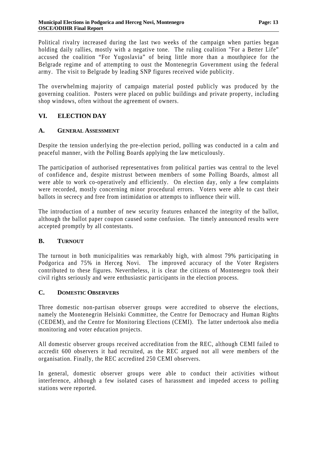Political rivalry increased during the last two weeks of the campaign when parties began holding daily rallies, mostly with a negative tone. The ruling coalition "For a Better Life" accused the coalition "For Yugoslavia" of being little more than a mouthpiece for the Belgrade regime and of attempting to oust the Montenegrin Government using the federal army. The visit to Belgrade by leading SNP figures received wide publicity.

The overwhelming majority of campaign material posted publicly was produced by the governing coalition. Posters were placed on public buildings and private property, including shop windows, often without the agreement of owners.

## **VI. ELECTION DAY**

#### **A. GENERAL ASSESSMENT**

Despite the tension underlying the pre-election period, polling was conducted in a calm and peaceful manner, with the Polling Boards applying the law meticulously.

The participation of authorised representatives from political parties was central to the level of confidence and, despite mistrust between members of some Polling Boards, almost all were able to work co-operatively and efficiently. On election day, only a few complaints were recorded, mostly concerning minor procedural errors. Voters were able to cast their ballots in secrecy and free from intimidation or attempts to influence their will.

The introduction of a number of new security features enhanced the integrity of the ballot, although the ballot paper coupon caused some confusion. The timely announced results were accepted promptly by all contestants.

### **B. TURNOUT**

The turnout in both municipalities was remarkably high, with almost 79% participating in Podgorica and 75% in Herceg Novi. The improved accuracy of the Voter Registers contributed to these figures. Nevertheless, it is clear the citizens of Montenegro took their civil rights seriously and were enthusiastic participants in the election process.

#### **C. DOMESTIC OBSERVERS**

Three domestic non-partisan observer groups were accredited to observe the elections, namely the Montenegrin Helsinki Committee, the Centre for Democracy and Human Rights (CEDEM), and the Centre for Monitoring Elections (CEMI). The latter undertook also media monitoring and voter education projects.

All domestic observer groups received accreditation from the REC, although CEMI failed to accredit 600 observers it had recruited, as the REC argued not all were members of the organisation. Finally, the REC accredited 250 CEMI observers.

In general, domestic observer groups were able to conduct their activities without interference, although a few isolated cases of harassment and impeded access to polling stations were reported.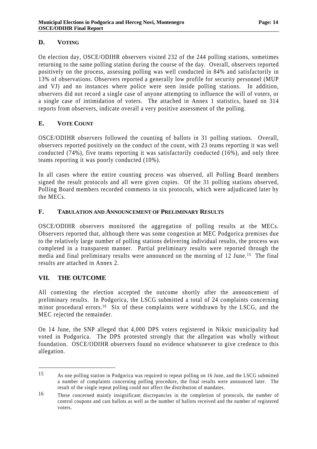## **D. VOTING**

On election day, OSCE/ODIHR observers visited 232 of the 244 polling stations, sometimes returning to the same polling station during the course of the day. Overall, observers reported positively on the process, assessing polling was well conducted in 84% and satisfactorily in 13% of observations. Observers reported a generally low profile for security personnel (MUP and VJ) and no instances where police were seen inside polling stations. In addition, observers did not record a single case of anyone attempting to influence the will of voters, or a single case of intimidation of voters. The attached in Annex 1 statistics, based on 314 reports from observers, indicate overall a very positive assessment of the polling.

## **E. VOTE COUNT**

OSCE/ODIHR observers followed the counting of ballots in 31 polling stations. Overall, observers reported positively on the conduct of the count, with 23 teams reporting it was well conducted (74%), five teams reporting it was satisfactorily conducted (16%), and only three teams reporting it was poorly conducted (10%).

In all cases where the entire counting process was observed, all Polling Board members signed the result protocols and all were given copies. Of the 31 polling stations observed, Polling Board members recorded comments in six protocols, which were adjudicated later by the MECs.

### **F. TABULATION AND ANNOUNCEMENT OF PRELIMINARY RESULTS**

OSCE/ODIHR observers monitored the aggregation of polling results at the MECs. Observers reported that, although there was some congestion at MEC Podgorica premises due to the relatively large number of polling stations delivering individual results, the process was completed in a transparent manner. Partial preliminary results were reported through the media and final preliminary results were announced on the morning of 12 June. <sup>15</sup> The final results are attached in Annex 2.

### **VII. THE OUTCOME**

 $\overline{a}$ 

All contesting the election accepted the outcome shortly after the announcement of preliminary results. In Podgorica, the LSCG submitted a total of 24 complaints concerning minor procedural errors.<sup>16</sup> Six of these complaints were withdrawn by the LSCG, and the MEC rejected the remainder.

On 14 June, the SNP alleged that 4,000 DPS voters registered in Niksic municipality had voted in Podgorica. The DPS protested strongly that the allegation was wholly without foundation. OSCE/ODIHR observers found no evidence whatsoever to give credence to this allegation.

<sup>15</sup> As one polling station in Podgorica was required to repeat polling on 16 June, and the LSCG submitted a number of complaints concerning polling procedure, the final results were announced later. The result of the single repeat polling could not affect the distribution of mandates.

<sup>16</sup> These concerned mainly insignificant discrepancies in the completion of protocols, the number of control coupons and cast ballots as well as the number of ballots received and the number of registered voters.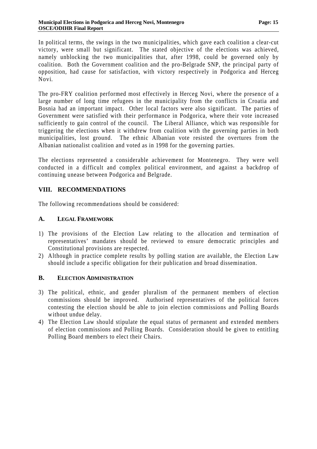In political terms, the swings in the two municipalities, which gave each coalition a clear-cut victory, were small but significant. The stated objective of the elections was achieved, namely unblocking the two municipalities that, after 1998, could be governed only by coalition. Both the Government coalition and the pro-Belgrade SNP, the principal party of opposition, had cause for satisfaction, with victory respectively in Podgorica and Herceg Novi.

The pro-FRY coalition performed most effectively in Herceg Novi, where the presence of a large number of long time refugees in the municipality from the conflicts in Croatia and Bosnia had an important impact. Other local factors were also significant. The parties of Government were satisfied with their performance in Podgorica, where their vote increased sufficiently to gain control of the council. The Liberal Alliance, which was responsible for triggering the elections when it withdrew from coalition with the governing parties in both municipalities, lost ground. The ethnic Albanian vote resisted the overtures from the Albanian nationalist coalition and voted as in 1998 for the governing parties.

The elections represented a considerable achievement for Montenegro. They were well conducted in a difficult and complex political environment, and against a backdrop of continuing unease between Podgorica and Belgrade.

## **VIII. RECOMMENDATIONS**

The following recommendations should be considered:

#### **A. LEGAL FRAMEWORK**

- 1) The provisions of the Election Law relating to the allocation and termination of representatives' mandates should be reviewed to ensure democratic principles and Constitutional provisions are respected.
- 2) Although in practice complete results by polling station are available, the Election Law should include a specific obligation for their publication and broad dissemination.

### **B. ELECTION ADMINISTRATION**

- 3) The political, ethnic, and gender pluralism of the permanent members of election commissions should be improved. Authorised representatives of the political forces contesting the election should be able to join election commissions and Polling Boards without undue delay.
- 4) The Election Law should stipulate the equal status of permanent and extended members of election commissions and Polling Boards. Consideration should be given to entitling Polling Board members to elect their Chairs.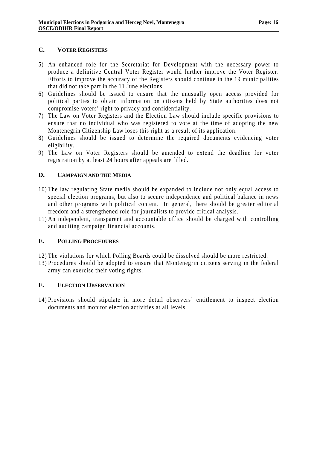#### **C. VOTER REGISTERS**

- 5) An enhanced role for the Secretariat for Development with the necessary power to produce a definitive Central Voter Register would further improve the Voter Register. Efforts to improve the accuracy of the Registers should continue in the 19 municipalities that did not take part in the 11 June elections.
- 6) Guidelines should be issued to ensure that the unusually open access provided for political parties to obtain information on citizens held by State authorities does not compromise voters' right to privacy and confidentiality.
- 7) The Law on Voter Registers and the Election Law should include specific provisions to ensure that no individual who was registered to vote at the time of adopting the new Montenegrin Citizenship Law loses this right as a result of its application.
- 8) Guidelines should be issued to determine the required documents evidencing voter eligibility.
- 9) The Law on Voter Registers should be amended to extend the deadline for voter registration by at least 24 hours after appeals are filled.

### **D. CAMPAIGN AND THE MEDIA**

- 10) The law regulating State media should be expanded to include not only equal access to special election programs, but also to secure independence and political balance in news and other programs with political content. In general, there should be greater editorial freedom and a strengthened role for journalists to provide critical analysis.
- 11) An independent, transparent and accountable office should be charged with controlling and auditing campaign financial accounts.

#### **E. POLLING PROCEDURES**

- 12) The violations for which Polling Boards could be dissolved should be more restricted.
- 13) Procedures should be adopted to ensure that Montenegrin citizens serving in the federal army can exercise their voting rights.

#### **F. ELECTION OBSERVATION**

14) Provisions should stipulate in more detail observers' entitlement to inspect election documents and monitor election activities at all levels.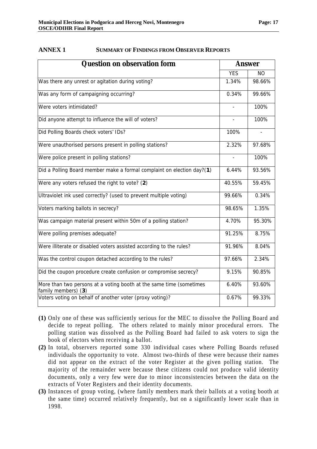family members) (**3**)

| <b>Question on observation form</b>                                    | <b>Answer</b> |           |
|------------------------------------------------------------------------|---------------|-----------|
|                                                                        | <b>YES</b>    | <b>NO</b> |
| Was there any unrest or agitation during voting?                       | 1.34%         | 98.66%    |
| Was any form of campaigning occurring?                                 | 0.34%         | 99.66%    |
| Were voters intimidated?                                               |               | 100%      |
| Did anyone attempt to influence the will of voters?                    | $\equiv$      | 100%      |
| Did Polling Boards check voters' IDs?                                  | 100%          |           |
| Were unauthorised persons present in polling stations?                 | 2.32%         | 97.68%    |
| Were police present in polling stations?                               |               | 100%      |
| Did a Polling Board member make a formal complaint on election day?(1) | 6.44%         | 93.56%    |
| Were any voters refused the right to vote? (2)                         | 40.55%        | 59.45%    |
| Ultraviolet ink used correctly? (used to prevent multiple voting)      | 99.66%        | 0.34%     |
| Voters marking ballots in secrecy?                                     | 98.65%        | 1.35%     |
| Was campaign material present within 50m of a polling station?         | 4.70%         | 95.30%    |
| Were polling premises adequate?                                        | 91.25%        | 8.75%     |
| Were illiterate or disabled voters assisted according to the rules?    | 91.96%        | 8.04%     |
| Was the control coupon detached according to the rules?                | 97.66%        | 2.34%     |
| Did the coupon procedure create confusion or compromise secrecy?       | 9.15%         | 90.85%    |
| More than two persons at a voting booth at the same time (sometimes    | 6.40%         | 93.60%    |

#### **ANNEX 1 SUMMARY OF FINDINGS FROM OBSERVER REPORTS**

**(1)** Only one of these was sufficiently serious for the MEC to dissolve the Polling Board and decide to repeat polling. The others related to mainly minor procedural errors. The polling station was dissolved as the Polling Board had failed to ask voters to sign the book of electors when receiving a ballot.

Voters voting on behalf of another voter (proxy voting)?  $\vert$  0.67% | 99.33%

- **(2)** In total, observers reported some 330 individual cases where Polling Boards refused individuals the opportunity to vote. Almost two-thirds of these were because their names did not appear on the extract of the voter Register at the given polling station. The majority of the remainder were because these citizens could not produce valid identity documents, only a very few were due to minor inconsistencies between the data on the extracts of Voter Registers and their identity documents.
- **(3)** Instances of group voting, (where family members mark their ballots at a voting booth at the same time) occurred relatively frequently, but on a significantly lower scale than in 1998.